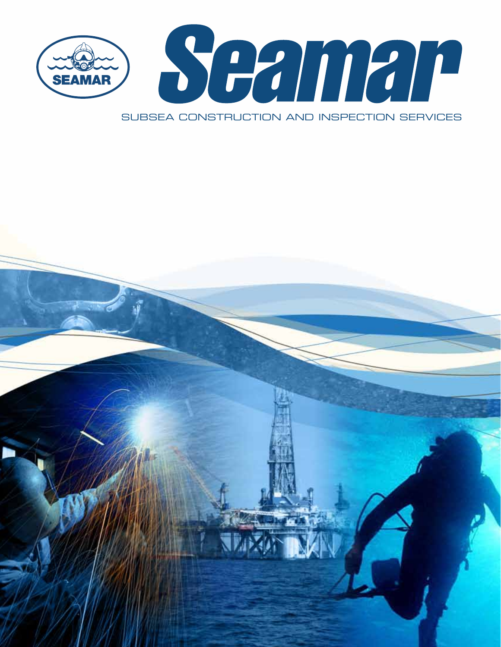

Subsea construction and inspection services

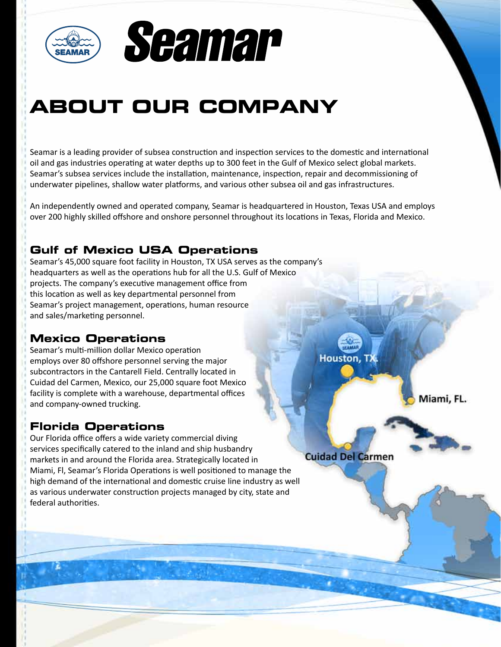

# Seamar

# **About our Company**

Seamar is a leading provider of subsea construction and inspection services to the domestic and international oil and gas industries operating at water depths up to 300 feet in the Gulf of Mexico select global markets. Seamar's subsea services include the installation, maintenance, inspection, repair and decommissioning of underwater pipelines, shallow water platforms, and various other subsea oil and gas infrastructures.

An independently owned and operated company, Seamar is headquartered in Houston, Texas USA and employs over 200 highly skilled offshore and onshore personnel throughout its locations in Texas, Florida and Mexico.

## **Gulf of Mexico USA Operations**

Seamar's 45,000 square foot facility in Houston, TX USA serves as the company's headquarters as well as the operations hub for all the U.S. Gulf of Mexico projects. The company's executive management office from this location as well as key departmental personnel from Seamar's project management, operations, human resource and sales/marketing personnel.

## **Mexico Operations**

Seamar's multi-million dollar Mexico operation employs over 80 offshore personnel serving the major subcontractors in the Cantarell Field. Centrally located in Cuidad del Carmen, Mexico, our 25,000 square foot Mexico facility is complete with a warehouse, departmental offices and company-owned trucking.

## **Florida Operations**

Our Florida office offers a wide variety commercial diving services specifically catered to the inland and ship husbandry markets in and around the Florida area. Strategically located in Miami, Fl, Seamar's Florida Operations is well positioned to manage the high demand of the international and domestic cruise line industry as well as various underwater construction projects managed by city, state and federal authorities.

Miami, FL.

**Cuidad Del Carmen** 

Houston. TJ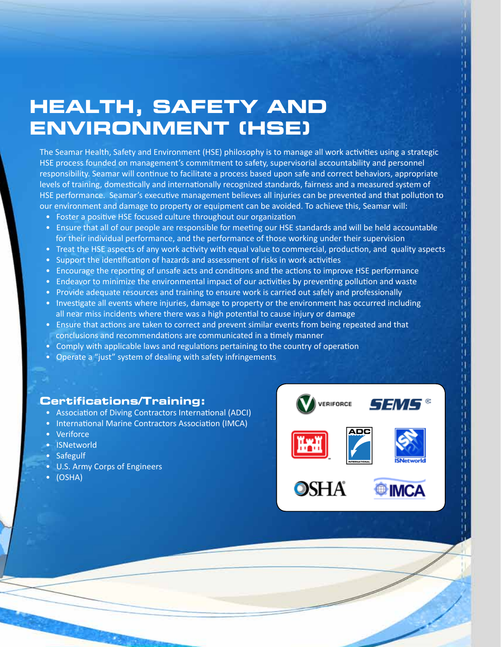## **Health, Safety and Environment (HSE)**

The Seamar Health, Safety and Environment (HSE) philosophy is to manage all work activities using a strategic HSE process founded on management's commitment to safety, supervisorial accountability and personnel responsibility. Seamar will continue to facilitate a process based upon safe and correct behaviors, appropriate levels of training, domestically and internationally recognized standards, fairness and a measured system of HSE performance. Seamar's executive management believes all injuries can be prevented and that pollution to our environment and damage to property or equipment can be avoided. To achieve this, Seamar will:

- Foster a positive HSE focused culture throughout our organization
- Ensure that all of our people are responsible for meeting our HSE standards and will be held accountable for their individual performance, and the performance of those working under their supervision
- Treat the HSE aspects of any work activity with equal value to commercial, production, and quality aspects
- Support the identification of hazards and assessment of risks in work activities
- Encourage the reporting of unsafe acts and conditions and the actions to improve HSE performance
- Endeavor to minimize the environmental impact of our activities by preventing pollution and waste
- Provide adequate resources and training to ensure work is carried out safely and professionally
- Investigate all events where injuries, damage to property or the environment has occurred including all near miss incidents where there was a high potential to cause injury or damage
- Ensure that actions are taken to correct and prevent similar events from being repeated and that conclusions and recommendations are communicated in a timely manner
- Comply with applicable laws and regulations pertaining to the country of operation
- Operate a "just" system of dealing with safety infringements

#### **Certifications/Training:**

- Association of Diving Contractors International (ADCI)
- International Marine Contractors Association (IMCA)
- Veriforce
- ISNetworld
- Safegulf
- U.S. Army Corps of Engineers
- (OSHA)

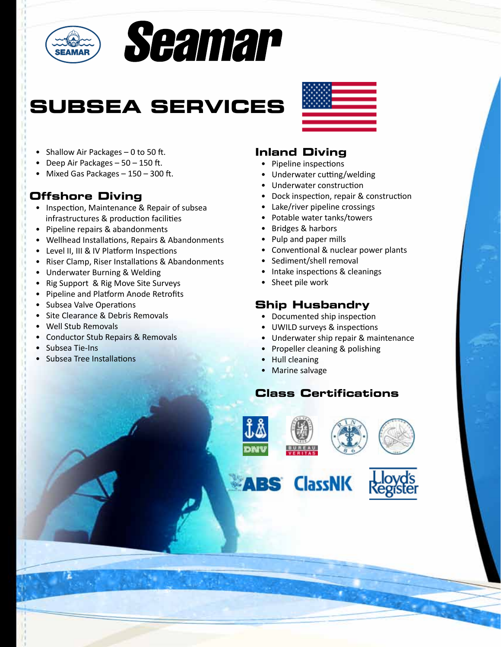

# Seamar

# **subsea services**



- Shallow Air Packages 0 to 50 ft.
- Deep Air Packages 50 150 ft.
- Mixed Gas Packages  $-150 300$  ft.

## **Offshore Diving**

- Inspection, Maintenance & Repair of subsea infrastructures & production facilities
- Pipeline repairs & abandonments
- Wellhead Installations, Repairs & Abandonments
- Level II, III & IV Platform Inspections
- Riser Clamp, Riser Installations & Abandonments
- Underwater Burning & Welding
- Rig Support & Rig Move Site Surveys
- Pipeline and Platform Anode Retrofits
- Subsea Valve Operations
- Site Clearance & Debris Removals
- Well Stub Removals
- Conductor Stub Repairs & Removals
- Subsea Tie-Ins
- Subsea Tree Installations

## **Inland Diving**

- Pipeline inspections
- Underwater cutting/welding
- Underwater construction
- Dock inspection, repair & construction
- Lake/river pipeline crossings
- Potable water tanks/towers
- Bridges & harbors
- Pulp and paper mills
- Conventional & nuclear power plants
- Sediment/shell removal
- Intake inspections & cleanings
- Sheet pile work

## **Ship Husbandry**

- Documented ship inspection
- UWILD surveys & inspections
- Underwater ship repair & maintenance
- Propeller cleaning & polishing
- Hull cleaning
- Marine salvage

**ABS ClassNK** 

## **Class Certifications**





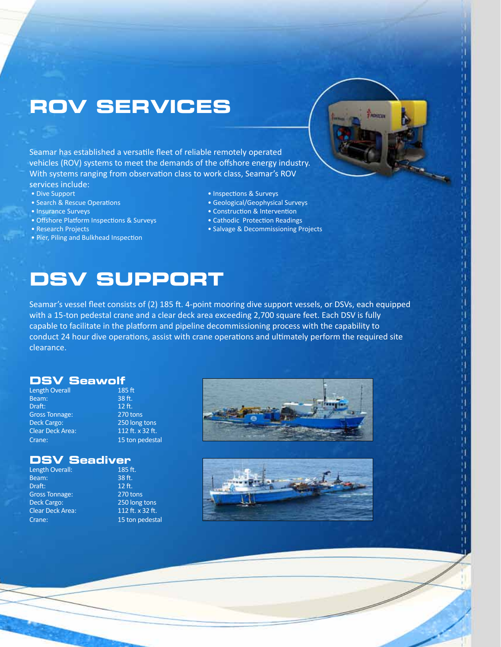## **ROV Services**

Seamar has established a versatile fleet of reliable remotely operated vehicles (ROV) systems to meet the demands of the offshore energy industry. With systems ranging from observation class to work class, Seamar's ROV services include:

- 
- 
- 
- Offshore Platform Inspections & Surveys Cathodic Protection Readings
- 
- Pier, Piling and Bulkhead Inspection
- Dive Support Inspections & Surveys
- Search & Rescue Operations Geological/Geophysical Surveys
- Insurance Surveys extending the Construction & Intervention
	-
- Research Projects Salvage & Decommissioning Projects

## **DSV Support**

Seamar's vessel fleet consists of (2) 185 ft. 4-point mooring dive support vessels, or DSVs, each equipped with a 15-ton pedestal crane and a clear deck area exceeding 2,700 square feet. Each DSV is fully capable to facilitate in the platform and pipeline decommissioning process with the capability to conduct 24 hour dive operations, assist with crane operations and ultimately perform the required site clearance.

#### **DSV Seawolf** 185 ft

| Length Overall        |
|-----------------------|
| Beam:                 |
| Draft:                |
| <b>Gross Tonnage:</b> |
| <b>Deck Cargo:</b>    |
| Clear Deck Area:      |
| Crane:                |
|                       |

## **DSV Seadiver**<br>Length Overall: 185 ft.

- Length Overall: Beam: 38 ft.<br>Draft: 38 ft.<br>12 ft. Draft: Gross Tonnage: 270 tons Deck Cargo: 250 long tons Clear Deck Area: 112 ft. x 32 ft. Crane: 15 ton pedestal
- 38 ft.  $12$  ft. 270 tons 250 long tons 112 ft. x 32 ft. 15 ton pedestal





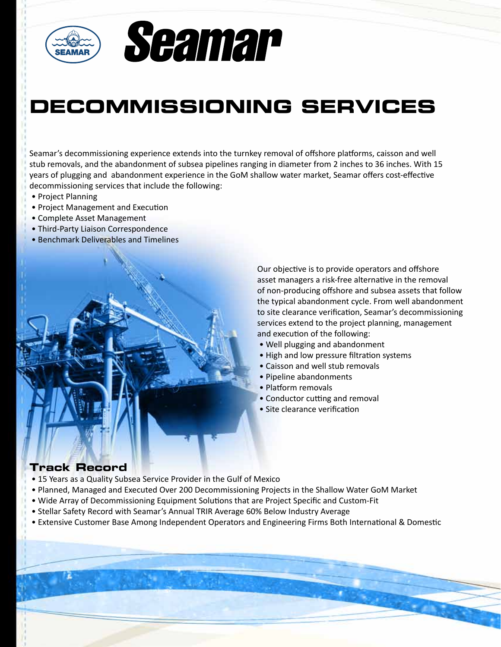

# Seamar

## **Decommissioning Services**

Seamar's decommissioning experience extends into the turnkey removal of offshore platforms, caisson and well stub removals, and the abandonment of subsea pipelines ranging in diameter from 2 inches to 36 inches. With 15 years of plugging and abandonment experience in the GoM shallow water market, Seamar offers cost-effective decommissioning services that include the following:

- Project Planning
- Project Management and Execution
- Complete Asset Management
- Third-Party Liaison Correspondence
- Benchmark Deliverables and Timelines

Our objective is to provide operators and offshore asset managers a risk-free alternative in the removal of non-producing offshore and subsea assets that follow the typical abandonment cycle. From well abandonment to site clearance verification, Seamar's decommissioning services extend to the project planning, management and execution of the following:

- Well plugging and abandonment
- High and low pressure filtration systems
- Caisson and well stub removals
- Pipeline abandonments
- Platform removals
- Conductor cutting and removal
- Site clearance verification

#### **Track Record**

- 15 Years as a Quality Subsea Service Provider in the Gulf of Mexico
- Planned, Managed and Executed Over 200 Decommissioning Projects in the Shallow Water GoM Market
- Wide Array of Decommissioning Equipment Solutions that are Project Specific and Custom-Fit
- Stellar Safety Record with Seamar's Annual TRIR Average 60% Below Industry Average
- Extensive Customer Base Among Independent Operators and Engineering Firms Both International & Domestic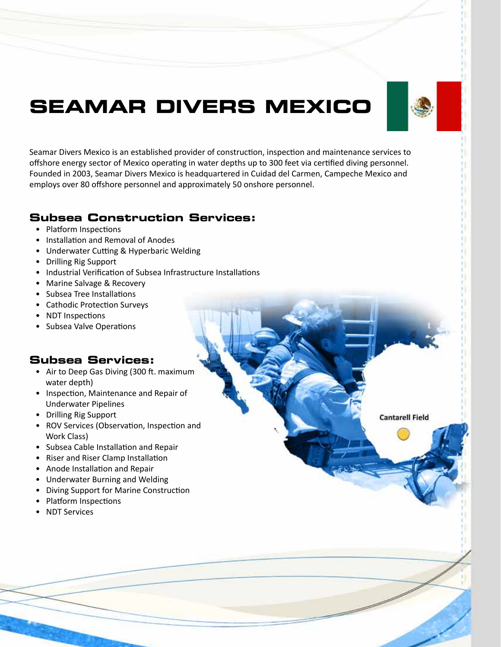## **Seamar Divers Mexico**



Seamar Divers Mexico is an established provider of construction, inspection and maintenance services to offshore energy sector of Mexico operating in water depths up to 300 feet via certified diving personnel. Founded in 2003, Seamar Divers Mexico is headquartered in Cuidad del Carmen, Campeche Mexico and employs over 80 offshore personnel and approximately 50 onshore personnel.

## **Subsea Construction Services:**

- Platform Inspections
- Installation and Removal of Anodes
- Underwater Cutting & Hyperbaric Welding
- Drilling Rig Support
- Industrial Verification of Subsea Infrastructure Installations
- Marine Salvage & Recovery
- Subsea Tree Installations
- Cathodic Protection Surveys
- NDT Inspections
- Subsea Valve Operations

## **Subsea Services:**

- Air to Deep Gas Diving (300 ft. maximum water depth)
- Inspection, Maintenance and Repair of Underwater Pipelines
- Drilling Rig Support
- ROV Services (Observation, Inspection and Work Class)
- Subsea Cable Installation and Repair
- Riser and Riser Clamp Installation
- Anode Installation and Repair
- Underwater Burning and Welding
- Diving Support for Marine Construction
- Platform Inspections
- NDT Services

**Cantarell Field**